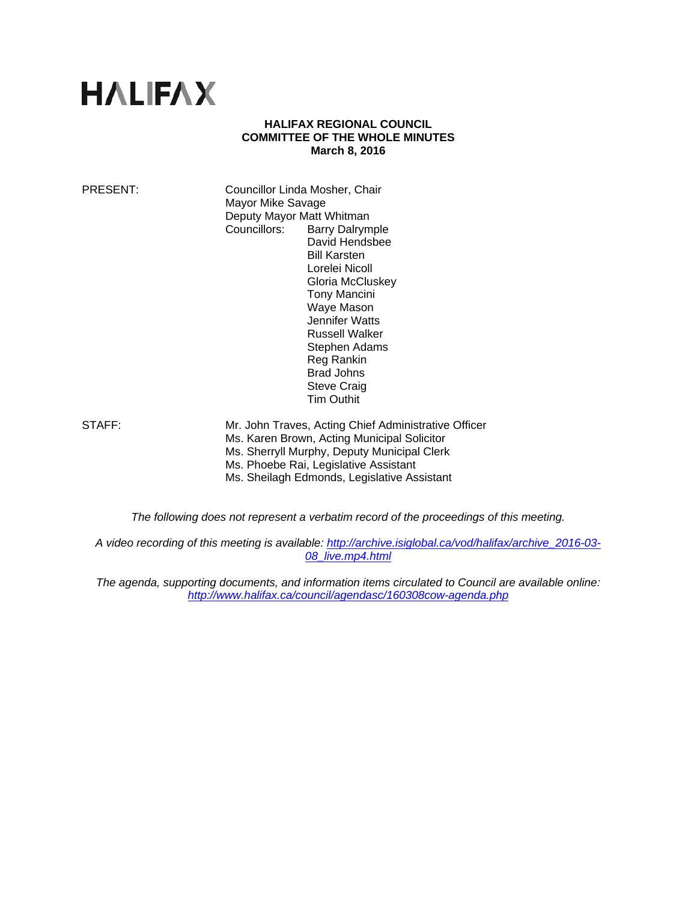# **HALIFAX**

#### **HALIFAX REGIONAL COUNCIL COMMITTEE OF THE WHOLE MINUTES March 8, 2016**

PRESENT: Councillor Linda Mosher, Chair Mayor Mike Savage Deputy Mayor Matt Whitman Councillors: Barry Dalrymple David Hendsbee Bill Karsten Lorelei Nicoll Gloria McCluskey Tony Mancini Waye Mason Jennifer Watts Russell Walker Stephen Adams Reg Rankin Brad Johns Steve Craig Tim Outhit

STAFF: Mr. John Traves, Acting Chief Administrative Officer Ms. Karen Brown, Acting Municipal Solicitor Ms. Sherryll Murphy, Deputy Municipal Clerk Ms. Phoebe Rai, Legislative Assistant Ms. Sheilagh Edmonds, Legislative Assistant

*The following does not represent a verbatim record of the proceedings of this meeting.* 

*A video recording of this meeting is available: http://archive.isiglobal.ca/vod/halifax/archive\_2016-03- 08\_live.mp4.html*

*The agenda, supporting documents, and information items circulated to Council are available online: http://www.halifax.ca/council/agendasc/160308cow-agenda.php*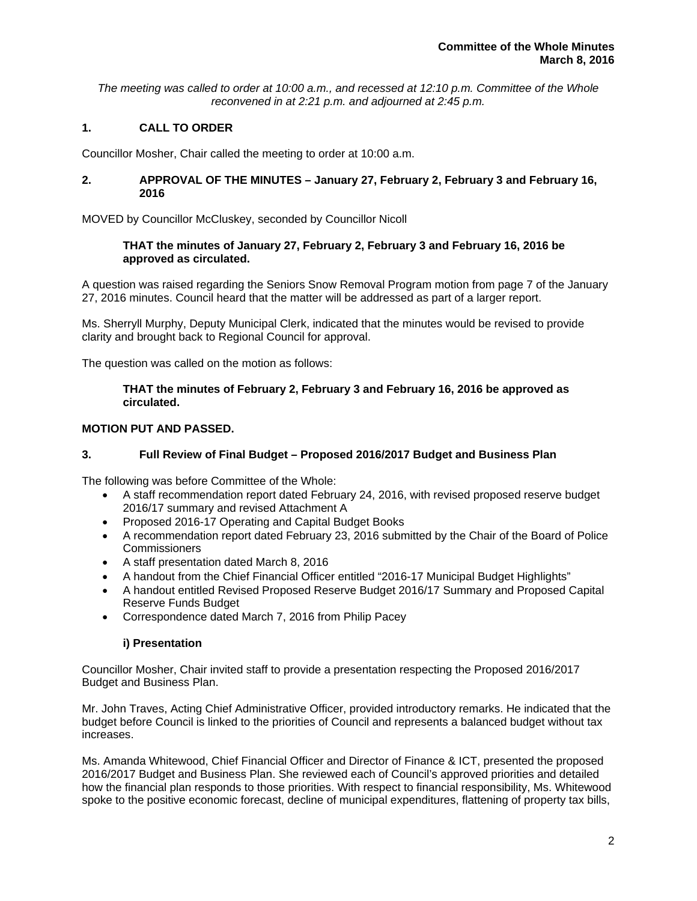*The meeting was called to order at 10:00 a.m., and recessed at 12:10 p.m. Committee of the Whole reconvened in at 2:21 p.m. and adjourned at 2:45 p.m.* 

# **1. CALL TO ORDER**

Councillor Mosher, Chair called the meeting to order at 10:00 a.m.

# **2. APPROVAL OF THE MINUTES – January 27, February 2, February 3 and February 16, 2016**

MOVED by Councillor McCluskey, seconded by Councillor Nicoll

# **THAT the minutes of January 27, February 2, February 3 and February 16, 2016 be approved as circulated.**

A question was raised regarding the Seniors Snow Removal Program motion from page 7 of the January 27, 2016 minutes. Council heard that the matter will be addressed as part of a larger report.

Ms. Sherryll Murphy, Deputy Municipal Clerk, indicated that the minutes would be revised to provide clarity and brought back to Regional Council for approval.

The question was called on the motion as follows:

# **THAT the minutes of February 2, February 3 and February 16, 2016 be approved as circulated.**

# **MOTION PUT AND PASSED.**

# **3. Full Review of Final Budget – Proposed 2016/2017 Budget and Business Plan**

The following was before Committee of the Whole:

- A staff recommendation report dated February 24, 2016, with revised proposed reserve budget 2016/17 summary and revised Attachment A
- Proposed 2016-17 Operating and Capital Budget Books
- A recommendation report dated February 23, 2016 submitted by the Chair of the Board of Police **Commissioners**
- A staff presentation dated March 8, 2016
- A handout from the Chief Financial Officer entitled "2016-17 Municipal Budget Highlights"
- A handout entitled Revised Proposed Reserve Budget 2016/17 Summary and Proposed Capital Reserve Funds Budget
- Correspondence dated March 7, 2016 from Philip Pacey

### **i) Presentation**

Councillor Mosher, Chair invited staff to provide a presentation respecting the Proposed 2016/2017 Budget and Business Plan.

Mr. John Traves, Acting Chief Administrative Officer, provided introductory remarks. He indicated that the budget before Council is linked to the priorities of Council and represents a balanced budget without tax increases.

Ms. Amanda Whitewood, Chief Financial Officer and Director of Finance & ICT, presented the proposed 2016/2017 Budget and Business Plan. She reviewed each of Council's approved priorities and detailed how the financial plan responds to those priorities. With respect to financial responsibility, Ms. Whitewood spoke to the positive economic forecast, decline of municipal expenditures, flattening of property tax bills,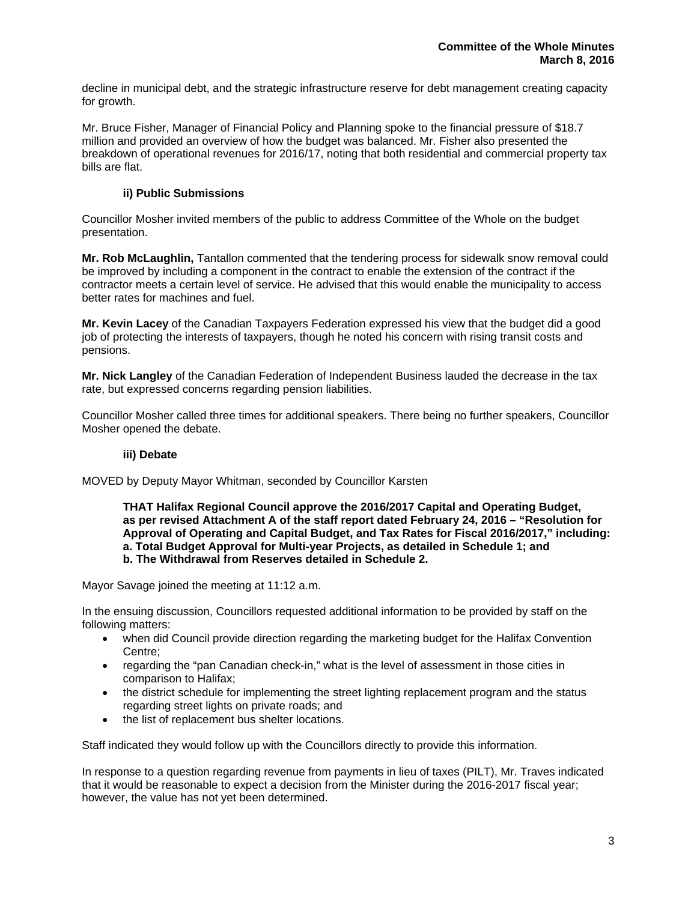decline in municipal debt, and the strategic infrastructure reserve for debt management creating capacity for growth.

Mr. Bruce Fisher, Manager of Financial Policy and Planning spoke to the financial pressure of \$18.7 million and provided an overview of how the budget was balanced. Mr. Fisher also presented the breakdown of operational revenues for 2016/17, noting that both residential and commercial property tax bills are flat.

# **ii) Public Submissions**

Councillor Mosher invited members of the public to address Committee of the Whole on the budget presentation.

**Mr. Rob McLaughlin,** Tantallon commented that the tendering process for sidewalk snow removal could be improved by including a component in the contract to enable the extension of the contract if the contractor meets a certain level of service. He advised that this would enable the municipality to access better rates for machines and fuel.

**Mr. Kevin Lacey** of the Canadian Taxpayers Federation expressed his view that the budget did a good job of protecting the interests of taxpayers, though he noted his concern with rising transit costs and pensions.

**Mr. Nick Langley** of the Canadian Federation of Independent Business lauded the decrease in the tax rate, but expressed concerns regarding pension liabilities.

Councillor Mosher called three times for additional speakers. There being no further speakers, Councillor Mosher opened the debate.

### **iii) Debate**

MOVED by Deputy Mayor Whitman, seconded by Councillor Karsten

**THAT Halifax Regional Council approve the 2016/2017 Capital and Operating Budget, as per revised Attachment A of the staff report dated February 24, 2016 – "Resolution for Approval of Operating and Capital Budget, and Tax Rates for Fiscal 2016/2017," including: a. Total Budget Approval for Multi-year Projects, as detailed in Schedule 1; and b. The Withdrawal from Reserves detailed in Schedule 2.** 

Mayor Savage joined the meeting at 11:12 a.m.

In the ensuing discussion, Councillors requested additional information to be provided by staff on the following matters:

- when did Council provide direction regarding the marketing budget for the Halifax Convention Centre;
- regarding the "pan Canadian check-in," what is the level of assessment in those cities in comparison to Halifax;
- the district schedule for implementing the street lighting replacement program and the status regarding street lights on private roads; and
- the list of replacement bus shelter locations.

Staff indicated they would follow up with the Councillors directly to provide this information.

In response to a question regarding revenue from payments in lieu of taxes (PILT), Mr. Traves indicated that it would be reasonable to expect a decision from the Minister during the 2016-2017 fiscal year; however, the value has not yet been determined.